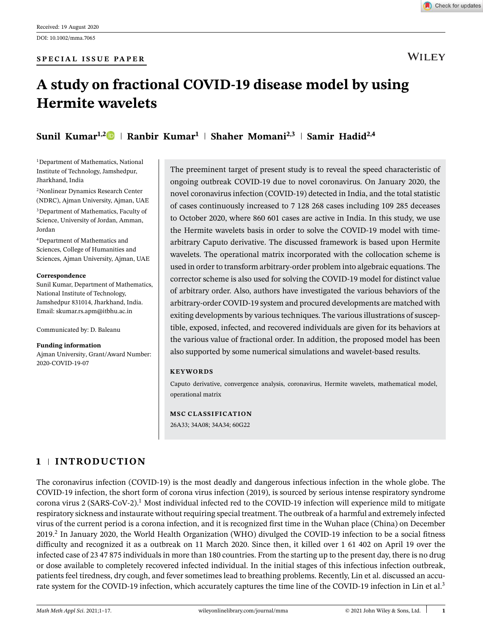**WILEY** 

# **A study on fractional COVID-19 disease model by using Hermite wavelets**

**Sunil Kumar<sup>1,2</sup> • Ranbir Kumar<sup>1</sup> | Shaher Momani<sup>2,3</sup> | Samir Hadid<sup>2,4</sup>** 

<sup>1</sup>Department of Mathematics, National Institute of Technology, Jamshedpur, Jharkhand, India

<sup>2</sup>Nonlinear Dynamics Research Center (NDRC), Ajman University, Ajman, UAE

<sup>3</sup>Department of Mathematics, Faculty of Science, University of Jordan, Amman, Jordan

<sup>4</sup>Department of Mathematics and Sciences, College of Humanities and Sciences, Ajman University, Ajman, UAE

#### **Correspondence**

Sunil Kumar, Department of Mathematics, National Institute of Technology, Jamshedpur 831014, Jharkhand, India. Email: skumar.rs.apm@itbhu.ac.in

Communicated by: D. Baleanu

**Funding information**

Ajman University, Grant/Award Number: 2020-COVID-19-07

The preeminent target of present study is to reveal the speed characteristic of ongoing outbreak COVID-19 due to novel coronavirus. On January 2020, the novel coronavirus infection (COVID-19) detected in India, and the total statistic of cases continuously increased to 7 128 268 cases including 109 285 deceases to October 2020, where 860 601 cases are active in India. In this study, we use the Hermite wavelets basis in order to solve the COVID-19 model with timearbitrary Caputo derivative. The discussed framework is based upon Hermite wavelets. The operational matrix incorporated with the collocation scheme is used in order to transform arbitrary-order problem into algebraic equations. The corrector scheme is also used for solving the COVID-19 model for distinct value of arbitrary order. Also, authors have investigated the various behaviors of the arbitrary-order COVID-19 system and procured developments are matched with exiting developments by various techniques. The various illustrations of susceptible, exposed, infected, and recovered individuals are given for its behaviors at the various value of fractional order. In addition, the proposed model has been also supported by some numerical simulations and wavelet-based results.

#### **KEYWORDS**

Caputo derivative, convergence analysis, coronavirus, Hermite wavelets, mathematical model, operational matrix

#### **MSC CLASSIFICATION**

26A33; 34A08; 34A34; 60G22

## **1 INTRODUCTION**

The coronavirus infection (COVID-19) is the most deadly and dangerous infectious infection in the whole globe. The COVID-19 infection, the short form of corona virus infection (2019), is sourced by serious intense respiratory syndrome corona virus 2 (SARS-CoV-2).<sup>1</sup> Most individual infected red to the COVID-19 infection will experience mild to mitigate respiratory sickness and instaurate without requiring special treatment. The outbreak of a harmful and extremely infected virus of the current period is a corona infection, and it is recognized first time in the Wuhan place (China) on December 2019.<sup>2</sup> In January 2020, the World Health Organization (WHO) divulged the COVID-19 infection to be a social fitness difficulty and recognized it as a outbreak on 11 March 2020. Since then, it killed over 1 61 402 on April 19 over the infected case of 23 47 875 individuals in more than 180 countries. From the starting up to the present day, there is no drug or dose available to completely recovered infected individual. In the initial stages of this infectious infection outbreak, patients feel tiredness, dry cough, and fever sometimes lead to breathing problems. Recently, Lin et al. discussed an accurate system for the COVID-19 infection, which accurately captures the time line of the COVID-19 infection in Lin et al.<sup>3</sup>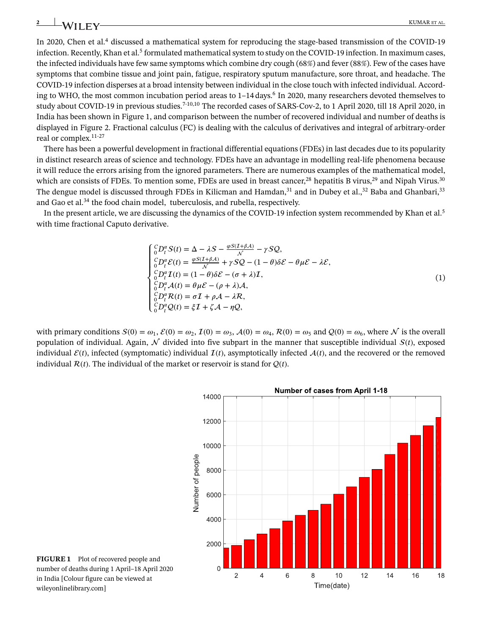In 2020, Chen et al.<sup>4</sup> discussed a mathematical system for reproducing the stage-based transmission of the COVID-19 infection. Recently, Khan et al. $^5$  formulated mathematical system to study on the COVID-19 infection. In maximum cases, the infected individuals have few same symptoms which combine dry cough (68*%*) and fever (88*%*). Few of the cases have symptoms that combine tissue and joint pain, fatigue, respiratory sputum manufacture, sore throat, and headache. The COVID-19 infection disperses at a broad intensity between individual in the close touch with infected individual. According to WHO, the most common incubation period areas to 1–14 days.<sup>6</sup> In 2020, many researchers devoted themselves to study about COVID-19 in previous studies.<sup>7-10,10</sup> The recorded cases of SARS-Cov-2, to 1 April 2020, till 18 April 2020, in India has been shown in Figure 1, and comparison between the number of recovered individual and number of deaths is displayed in Figure 2. Fractional calculus (FC) is dealing with the calculus of derivatives and integral of arbitrary-order real or complex.11-27

There has been a powerful development in fractional differential equations (FDEs) in last decades due to its popularity in distinct research areas of science and technology. FDEs have an advantage in modelling real-life phenomena because it will reduce the errors arising from the ignored parameters. There are numerous examples of the mathematical model, which are consists of FDEs. To mention some, FDEs are used in breast cancer,<sup>28</sup> hepatitis B virus,<sup>29</sup> and Nipah Virus.<sup>30</sup> The dengue model is discussed through FDEs in Kilicman and Hamdan,<sup>31</sup> and in Dubey et al.,<sup>32</sup> Baba and Ghanbari,<sup>33</sup> and Gao et al.<sup>34</sup> the food chain model, tuberculosis, and rubella, respectively.

In the present article, we are discussing the dynamics of the COVID-19 infection system recommended by Khan et al.<sup>5</sup> with time fractional Caputo derivative.

$$
\begin{cases}\n^C_{0}D_t^{\alpha}S(t) = \Delta - \lambda S - \frac{\varphi S(I+\beta A)}{N} - \gamma SQ, \\
^C_{0}D_t^{\alpha}\mathcal{E}(t) = \frac{\varphi S(I+\beta A)}{N} + \gamma SQ - (1-\theta)\delta \mathcal{E} - \theta \mu \mathcal{E} - \lambda \mathcal{E}, \\
^C_{0}D_t^{\alpha}I(t) = (1-\theta)\delta \mathcal{E} - (\sigma + \lambda)I, \\
^C_{0}D_t^{\alpha}A(t) = \theta \mu \mathcal{E} - (\rho + \lambda)A, \\
^C_{0}D_t^{\alpha}R(t) = \sigma I + \rho A - \lambda R, \\
^C_{0}D_t^{\alpha}Q(t) = \xi I + \zeta A - \eta Q,\n\end{cases}
$$
\n(1)

with primary conditions  $S(0) = \omega_1$ ,  $\mathcal{E}(0) = \omega_2$ ,  $\mathcal{I}(0) = \omega_3$ ,  $\mathcal{A}(0) = \omega_4$ ,  $\mathcal{R}(0) = \omega_5$  and  $\mathcal{Q}(0) = \omega_6$ , where  $\mathcal N$  is the overall population of individual. Again,  $\mathcal N$  divided into five subpart in the manner that susceptible individual  $S(t)$ , exposed individual  $\mathcal{E}(t)$ , infected (symptomatic) individual  $\mathcal{I}(t)$ , asymptotically infected  $\mathcal{A}(t)$ , and the recovered or the removed individual  $R(t)$ . The individual of the market or reservoir is stand for  $Q(t)$ .



**FIGURE 1** Plot of recovered people and number of deaths during 1 April–18 April 2020 in India [Colour figure can be viewed at wileyonlinelibrary.com]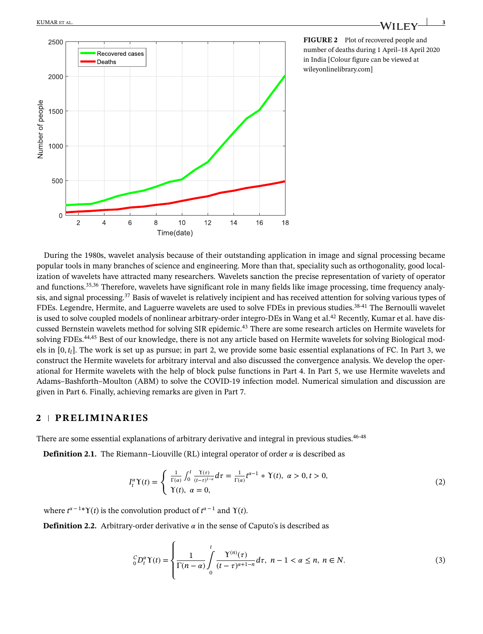

**FIGURE 2** Plot of recovered people and number of deaths during 1 April–18 April 2020 in India [Colour figure can be viewed at wileyonlinelibrary.com]

During the 1980s, wavelet analysis because of their outstanding application in image and signal processing became popular tools in many branches of science and engineering. More than that, speciality such as orthogonality, good localization of wavelets have attracted many researchers. Wavelets sanction the precise representation of variety of operator and functions.35,36 Therefore, wavelets have significant role in many fields like image processing, time frequency analysis, and signal processing.<sup>37</sup> Basis of wavelet is relatively incipient and has received attention for solving various types of FDEs. Legendre, Hermite, and Laguerre wavelets are used to solve FDEs in previous studies.38-41 The Bernoulli wavelet is used to solve coupled models of nonlinear arbitrary-order integro-DEs in Wang et al.<sup>42</sup> Recently, Kumar et al. have discussed Bernstein wavelets method for solving SIR epidemic.<sup>43</sup> There are some research articles on Hermite wavelets for solving FDEs.44,45 Best of our knowledge, there is not any article based on Hermite wavelets for solving Biological models in  $[0, t_l]$ . The work is set up as pursue; in part 2, we provide some basic essential explanations of FC. In Part 3, we construct the Hermite wavelets for arbitrary interval and also discussed the convergence analysis. We develop the operational for Hermite wavelets with the help of block pulse functions in Part 4. In Part 5, we use Hermite wavelets and Adams–Bashforth–Moulton (ABM) to solve the COVID-19 infection model. Numerical simulation and discussion are given in Part 6. Finally, achieving remarks are given in Part 7.

### **2 PRELIMINARIES**

There are some essential explanations of arbitrary derivative and integral in previous studies.<sup>46-48</sup>

**Definition 2.1.** The Riemann–Liouville (RL) integral operator of order  $\alpha$  is described as

$$
I_t^{\alpha} \Upsilon(t) = \begin{cases} \frac{1}{\Gamma(\alpha)} \int_0^t \frac{\Upsilon(\tau)}{(t-\tau)^{1-\alpha}} d\tau = \frac{1}{\Gamma(\alpha)} t^{\alpha-1} * \Upsilon(t), & \alpha > 0, t > 0, \\ \Upsilon(t), & \alpha = 0, \end{cases}
$$
(2)

where  $t^{\alpha-1*}\Upsilon(t)$  is the convolution product of  $t^{\alpha-1}$  and  $\Upsilon(t)$ .

**Definition 2.2.** Arbitrary-order derivative  $\alpha$  in the sense of Caputo's is described as

$$
{}_{0}^{C}D_{t}^{\alpha}\Upsilon(t)=\left\{\frac{1}{\Gamma(n-\alpha)}\int_{0}^{t}\frac{\Upsilon^{(n)}(\tau)}{(t-\tau)^{\alpha+1-n}}d\tau,\ n-1<\alpha\leq n,\ n\in N.\right\}
$$
(3)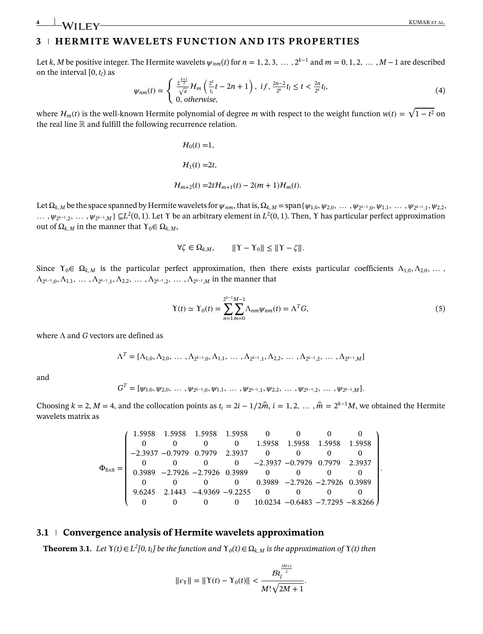## **3 HERMITE WAVELETS FUNCTION AND ITS PROPERTIES**

0(*t*) =1*,*

Let k, M be positive integer. The Hermite wavelets  $\psi_{nm}(t)$  for  $n=1,2,3,...,2^{k-1}$  and  $m=0,1,2,...,M-1$  are described on the interval  $[0, t_l)$  as

$$
\psi_{nm}(t) = \begin{cases} \frac{2^{\frac{k+1}{2}}}{\sqrt{\pi}} \mathcal{H}_m\left(\frac{2^k}{t_l}t - 2n + 1\right), & \text{if, } \frac{2n-2}{2^k}t_l \le t < \frac{2n}{2^k}t_l, \\ 0, & \text{otherwise,} \end{cases} \tag{4}
$$

where  $\mathcal{H}_m(t)$  is the well-known Hermite polynomial of degree *m* with respect to the weight function  $w(t) = \sqrt{1-t^2}$  on the real line  $\mathbb R$  and fulfill the following recurrence relation.

$$
H_0(t) = 1,
$$
  
\n
$$
H_1(t) = 2t,
$$
  
\n
$$
H_{m+2}(t) = 2tH_{m+1}(t) - 2(m+1)H_m(t).
$$

Let  $\Omega_{k,M}$  be the space spanned by Hermite wavelets for  $\psi_{nm}$ , that is,  $\Omega_{k,M}$  = span {  $\psi_{1,0},\psi_{2,0},~\ldots~,\psi_{2^{k-1},0},\psi_{1,1},~\ldots~,\psi_{2^{k-1},1},\psi_{2,2}$ , *...* ,  $\psi_{2^{k-1},2}$ , *...* ,  $\psi_{2^{k-1},M}$  ⊆L<sup>2</sup>(0, 1). Let Υ be an arbitrary element in *L*<sup>2</sup>(0, 1). Then, Υ has particular perfect approximation out of  $Ω<sub>k</sub>, *M*$  in the manner that  $γ<sub>0</sub>∈ Ω<sub>k</sub>, *M*$ ,

$$
\forall \zeta \in \Omega_{k,M}, \qquad ||Y - Y_0|| \le ||Y - \zeta||.
$$

Since  $\Upsilon_0 \in \Omega_{k,M}$  is the particular perfect approximation, then there exists particular coefficients  $\Lambda_{1,0}, \Lambda_{2,0}, \ldots$  $\Lambda_{2^{k-1},0}, \Lambda_{1,1}, \ldots, \Lambda_{2^{k-1},1}, \Lambda_{2,2}, \ldots, \Lambda_{2^{k-1},2}, \ldots, \Lambda_{2^{k-1},M}$  in the manner that

$$
\Upsilon(t) \simeq \Upsilon_0(t) = \sum_{n=1}^{2^{k-1}M-1} \Lambda_{nm} \psi_{nm}(t) = \Lambda^T G,
$$
\n(5)

where Λ and *G* vectors are defined as

 $\Lambda^T=[\Lambda_{1,0},\Lambda_{2,0},\ldots,\Lambda_{2^{k-1},0},\Lambda_{1,1},\ldots,\Lambda_{2^{k-1},1},\Lambda_{2,2},\ldots,\Lambda_{2^{k-1},2},\ldots,\Lambda_{2^{k-1},M}]$ 

and

$$
G^{T} = [\psi_{1,0}, \psi_{2,0}, \ldots, \psi_{2^{k-1},0}, \psi_{1,1}, \ldots, \psi_{2^{k-1},1}, \psi_{2,2}, \ldots, \psi_{2^{k-1},2}, \ldots, \psi_{2^{k-1},M}].
$$

Choosing  $k = 2$ ,  $M = 4$ , and the collocation points as  $t_i = 2i - 1/2\hat{m}$ ,  $i = 1, 2, ..., \hat{m} = 2^{k-1}M$ , we obtained the Hermite wavelets matrix as

$$
\Phi_{8\times 8}=\left(\begin{array}{cccccccc}1.5958&1.5958&1.5958&0&0&0&0\\0&0&0&0&1.5958&1.5958&1.5958&1.5958\\-2.3937&-0.7979&0.7979&2.3937&0&0&0&0\\0&0&0&0&-2.3937&-0.7979&0.7979&2.3937\\0.3989&-2.7926&-2.7926&0.3989&0&0&0&0\\0&0&0&0&0.3989&-2.7926&-2.7926&0.3989\\9.6245&2.1443&-4.9369&-9.2255&0&0&0&0\\0&0&0&0&10.0234&-0.6483&-7.7295&-8.8266\end{array}\right).
$$

#### **3.1 Convergence analysis of Hermite wavelets approximation**

**Theorem 3.1.** *Let*  $Y(t) \in L^2[0, t_1]$  be the function and  $Y_0(t) \in \Omega_{k,M}$  is the approximation of  $Y(t)$  then

$$
||\epsilon_{\Upsilon}|| = ||\Upsilon(t) - \Upsilon_0(t)|| < \frac{B t_1^{\frac{2M+1}{2}}}{M! \sqrt{2M+1}}.
$$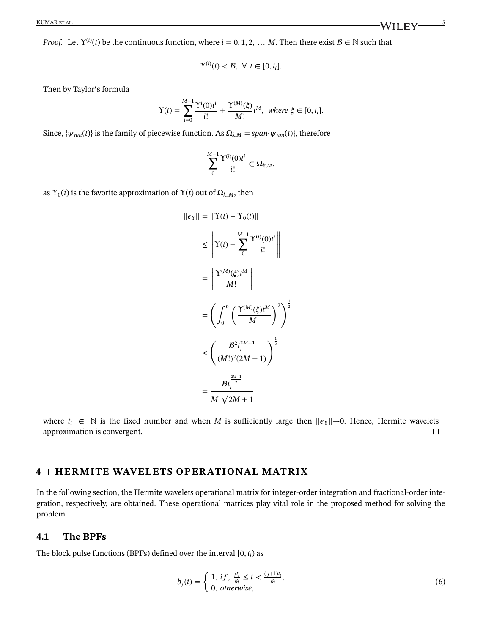*Proof.* Let  $Y^{(i)}(t)$  be the continuous function, where  $i = 0, 1, 2, ...$  *M*. Then there exist  $B \in \mathbb{N}$  such that

$$
\Upsilon^{(i)}(t) < \mathcal{B}, \ \forall \ t \in [0, t_l].
$$

Then by Taylor′ s formula

$$
\Upsilon(t) = \sum_{i=0}^{M-1} \frac{\Upsilon^{i}(0)t^{i}}{i!} + \frac{\Upsilon^{(M)}(\xi)}{M!} t^{M}, \text{ where } \xi \in [0, t_{l}].
$$

Since,  $\{\psi_{nm}(t)\}\$ is the family of piecewise function. As  $\Omega_{k,M} = span\{\psi_{nm}(t)\}\$ , therefore

$$
\sum_{0}^{M-1} \frac{\Upsilon^{(i)}(0) t^i}{i!} \in \Omega_{k,M},
$$

as  $Y_0(t)$  is the favorite approximation of  $Y(t)$  out of  $\Omega_{k,M}$ , then

$$
||\epsilon_{\Upsilon}|| = ||\Upsilon(t) - \Upsilon_{0}(t)||
$$
\n
$$
\leq \left||\Upsilon(t) - \sum_{0}^{M-1} \frac{\Upsilon^{(i)}(0)t^{i}}{i!} \right||
$$
\n
$$
= \left||\frac{\Upsilon^{(M)}(\xi)t^{M}}{M!} \right||
$$
\n
$$
= \left(\int_{0}^{t_{i}} \left(\frac{\Upsilon^{(M)}(\xi)t^{M}}{M!}\right)^{2} \right)^{\frac{1}{2}}
$$
\n
$$
< \left(\frac{B^{2}t_{l}^{2M+1}}{(M!)^{2}(2M+1)}\right)^{\frac{1}{2}}
$$
\n
$$
= \frac{Bt_{l}^{\frac{2M+1}{2}}}{M!\sqrt{2M+1}}
$$

where  $t_l \in \mathbb{N}$  is the fixed number and when *M* is sufficiently large then  $||\epsilon_\Upsilon|| \rightarrow 0$ . Hence, Hermite wavelets approximation is convergent. approximation is convergent.

#### **4 HERMITE WAVELETS OPERATIONAL MATRIX**

In the following section, the Hermite wavelets operational matrix for integer-order integration and fractional-order integration, respectively, are obtained. These operational matrices play vital role in the proposed method for solving the problem.

#### **4.1 The BPFs**

The block pulse functions (BPFs) defined over the interval  $[0, t_l)$  as

$$
b_j(t) = \begin{cases} 1, & \text{if } j, \frac{j t_l}{\hat{m}} \le t < \frac{(j+1)t_l}{\hat{m}}, \\ 0, & \text{otherwise}, \end{cases} \tag{6}
$$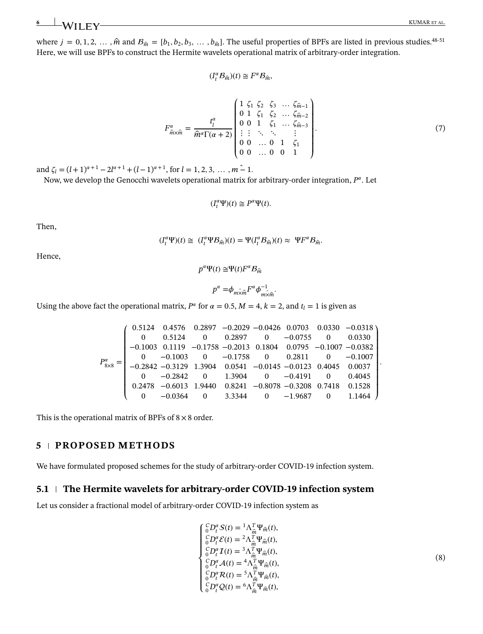(8)

where  $j = 0, 1, 2, \ldots, \hat{m}$  and  $B_{\hat{m}} = [b_1, b_2, b_3, \ldots, b_{\hat{m}}]$ . The useful properties of BPFs are listed in previous studies.<sup>48-51</sup> Here, we will use BPFs to construct the Hermite wavelets operational matrix of arbitrary-order integration.

$$
(I_t^{\alpha} \mathcal{B}_{\hat{m}})(t) \cong F^{\alpha} \mathcal{B}_{\hat{m}},
$$

$$
F_{\hat{m}\times\hat{m}}^{\alpha} = \frac{t_1^{\alpha}}{\hat{m}^{\alpha}\Gamma(\alpha+2)} \begin{pmatrix} 1 & \zeta_1 & \zeta_2 & \zeta_3 & \dots & \zeta_{\hat{m}-1} \\ 0 & 1 & \zeta_1 & \zeta_2 & \dots & \zeta_{\hat{m}-2} \\ 0 & 0 & 1 & \zeta_1 & \dots & \zeta_{\hat{m}-3} \\ \vdots & \vdots & \ddots & \ddots & \vdots & \vdots \\ 0 & 0 & \dots & 0 & 1 & \zeta_1 \\ 0 & 0 & \dots & 0 & 0 & 1 \end{pmatrix} . \tag{7}
$$

and  $\zeta_l = (l+1)^{\alpha+1} - 2l^{\alpha+1} + (l-1)^{\alpha+1}$ , for  $l = 1, 2, 3, \dots, m-1$ .

Now, we develop the Genocchi wavelets operational matrix for arbitrary-order integration, *P* . Let

$$
(I_t^{\alpha}\Psi)(t) \cong P^{\alpha}\Psi(t).
$$

Then,

$$
(I_t^{\alpha}\Psi)(t) \cong (I_t^{\alpha}\Psi \mathcal{B}_{\hat{m}})(t) = \Psi(I_t^{\alpha}\mathcal{B}_{\hat{m}})(t) \approx \Psi F^{\alpha}\mathcal{B}_{\hat{m}}.
$$

Hence,

$$
p^{\alpha}\Psi(t) \cong \Psi(t)F^{\alpha}\mathcal{B}_{\hat{m}}
$$

$$
p^{\alpha} = \phi_{m\hat{\times}\hat{m}} F^{\alpha} \phi_{m\hat{\times}\hat{m}}^{-1}.
$$

Using the above fact the operational matrix,  $P^{\alpha}$  for  $\alpha = 0.5$ ,  $M = 4$ ,  $k = 2$ , and  $t_l = 1$  is given as

$$
P_{8\times 8}^{\alpha} = \begin{pmatrix} 0.5124 & 0.4576 & 0.2897 & -0.2029 & -0.0426 & 0.0703 & 0.0330 & -0.0318 \\ 0 & 0.5124 & 0 & 0.2897 & 0 & -0.0755 & 0 & 0.0330 \\ -0.1003 & 0.1119 & -0.1758 & -0.2013 & 0.1804 & 0.0795 & -0.1007 & -0.0382 \\ 0 & -0.1003 & 0 & -0.1758 & 0 & 0.2811 & 0 & -0.1007 \\ -0.2842 & -0.3129 & 1.3904 & 0.0541 & -0.0145 & -0.0123 & 0.4045 & 0.0037 \\ 0 & -0.2842 & 0 & 1.3904 & 0 & -0.4191 & 0 & 0.4045 \\ 0.2478 & -0.6013 & 1.9440 & 0.8241 & -0.8078 & -0.3208 & 0.7418 & 0.1528 \\ 0 & -0.0364 & 0 & 3.3344 & 0 & -1.9687 & 0 & 1.1464 \end{pmatrix}.
$$

This is the operational matrix of BPFs of  $8 \times 8$  order.

### **5 PROPOSED METHODS**

We have formulated proposed schemes for the study of arbitrary-order COVID-19 infection system.

#### **5.1 The Hermite wavelets for arbitrary-order COVID-19 infection system**

 $\mathsf I$  $\mathbf l$  $\mathbf l$ ⎪  $\mathbf l$  $\mathbf l$  $\mathbf l$  $\mathsf{l}$  $\overline{\mathbf{r}}$ 

Let us consider a fractional model of arbitrary-order COVID-19 infection system as

$$
{}_{0}^{C}D_{t}^{\alpha}S(t) = {}^{1}\Lambda_{\widehat{m}}^{T}\Psi_{\widehat{m}}(t),
$$
  
\n
$$
{}_{0}^{C}D_{t}^{\alpha}\mathcal{E}(t) = {}^{2}\Lambda_{\widehat{m}}^{T}\Psi_{\widehat{m}}(t),
$$
  
\n
$$
{}_{0}^{C}D_{t}^{\alpha}\mathcal{I}(t) = {}^{3}\Lambda_{\widehat{m}}^{T}\Psi_{\widehat{m}}(t),
$$
  
\n
$$
{}_{0}^{C}D_{t}^{\alpha}\mathcal{A}(t) = {}^{4}\Lambda_{\widehat{m}}^{T}\Psi_{\widehat{m}}(t),
$$
  
\n
$$
{}_{0}^{C}D_{t}^{\alpha}\mathcal{R}(t) = {}^{5}\Lambda_{\widehat{m}}^{T}\Psi_{\widehat{m}}(t),
$$
  
\n
$$
{}_{0}^{C}D_{t}^{\alpha}\mathcal{Q}(t) = {}^{6}\Lambda_{\widehat{m}}^{T}\Psi_{\widehat{m}}(t),
$$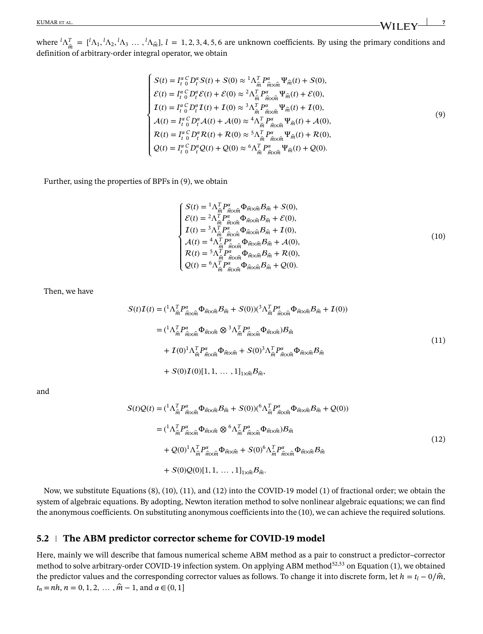where  ${}^{l}\Lambda_{\hat{m}}^T = [{}^{l}\Lambda_1, {}^{l}\Lambda_2, {}^{l}\Lambda_3, \dots, {}^{l}\Lambda_{\hat{m}}], l = 1, 2, 3, 4, 5, 6$  are unknown coefficients. By using the primary conditions and definition of arbitrary-order integral operator, we obtain

$$
\begin{cases}\nS(t) = I_t^{\alpha} C D_t^{\alpha} S(t) + S(0) \approx {}^1 \Lambda_m^T P_{\hat{m} \times \hat{m}}^{\alpha} \Psi_{\hat{m}}(t) + S(0), \\
\mathcal{E}(t) = I_t^{\alpha} C D_t^{\alpha} \mathcal{E}(t) + \mathcal{E}(0) \approx {}^2 \Lambda_m^T P_{\hat{m} \times \hat{m}}^{\alpha} \Psi_{\hat{m}}(t) + \mathcal{E}(0), \\
I(t) = I_t^{\alpha} C D_t^{\alpha} I(t) + I(0) \approx {}^3 \Lambda_m^T P_{\hat{m} \times \hat{m}}^{\alpha} \Psi_{\hat{m}}(t) + I(0), \\
\mathcal{A}(t) = I_t^{\alpha} C D_t^{\alpha} \mathcal{A}(t) + \mathcal{A}(0) \approx {}^4 \Lambda_m^T P_{\hat{m} \times \hat{m}}^{\alpha} \Psi_{\hat{m}}(t) + \mathcal{A}(0), \\
\mathcal{R}(t) = I_t^{\alpha} C D_t^{\alpha} \mathcal{R}(t) + \mathcal{R}(0) \approx {}^5 \Lambda_m^T P_{\hat{m} \times \hat{m}}^{\alpha} \Psi_{\hat{m}}(t) + \mathcal{R}(0), \\
Q(t) = I_t^{\alpha} C D_t^{\alpha} Q(t) + Q(0) \approx {}^6 \Lambda_m^T P_{\hat{m} \times \hat{m}}^{\alpha} \Psi_{\hat{m}}(t) + Q(0).\n\end{cases}
$$
\n(9)

Further, using the properties of BPFs in (9), we obtain

$$
\begin{cases}\nS(t) = {}^{1}\Lambda_{\hat{m}}^{T} P_{\hat{m}\times\hat{m}}^{\alpha} \Phi_{\hat{m}\times\hat{m}} B_{\hat{m}} + S(0), \\
\mathcal{E}(t) = {}^{2}\Lambda_{\hat{m}}^{T} P_{\hat{m}\times\hat{m}}^{\alpha} \Phi_{\hat{m}\times\hat{m}} B_{\hat{m}} + \mathcal{E}(0), \\
I(t) = {}^{3}\Lambda_{\hat{n}}^{T} P_{\hat{m}\times\hat{m}}^{\alpha} \Phi_{\hat{m}\times\hat{m}} B_{\hat{m}} + I(0), \\
\mathcal{A}(t) = {}^{4}\Lambda_{\hat{m}}^{T} P_{\hat{m}\times\hat{m}}^{\alpha} \Phi_{\hat{m}\times\hat{m}} B_{\hat{m}} + \mathcal{A}(0), \\
R(t) = {}^{5}\Lambda_{\hat{m}}^{T} P_{\hat{m}\times\hat{m}}^{\alpha} \Phi_{\hat{m}\times\hat{m}} B_{\hat{m}} + R(0), \\
Q(t) = {}^{6}\Lambda_{\hat{m}}^{T} P_{\hat{m}\times\hat{m}}^{\alpha} \Phi_{\hat{m}\times\hat{m}} B_{\hat{m}} + Q(0).\n\end{cases}
$$
\n(10)

Then, we have

$$
S(t)I(t) = ({}^{1}\Lambda_{\hat{m}}^{T}P_{\hat{m}\times\hat{m}}^{\alpha}\Phi_{\hat{m}\times\hat{m}}B_{\hat{m}} + S(0))({}^{3}\Lambda_{\hat{m}}^{T}P_{\hat{m}\times\hat{m}}^{\alpha}\Phi_{\hat{m}\times\hat{m}}B_{\hat{m}} + I(0))
$$
  
\n
$$
= ({}^{1}\Lambda_{\hat{m}}^{T}P_{\hat{m}\times\hat{m}}^{\alpha}\Phi_{\hat{m}\times\hat{m}}\otimes {}^{3}\Lambda_{\hat{m}}^{T}P_{\hat{m}\times\hat{m}}^{\alpha}\Phi_{\hat{m}\times\hat{m}})B_{\hat{m}}
$$
  
\n
$$
+ I(0){}^{1}\Lambda_{\hat{m}}^{T}P_{\hat{m}\times\hat{m}}^{\alpha}\Phi_{\hat{m}\times\hat{m}} + S(0){}^{3}\Lambda_{\hat{m}}^{T}P_{\hat{m}\times\hat{m}}^{\alpha}\Phi_{\hat{m}\times\hat{m}}B_{\hat{m}}
$$
  
\n
$$
+ S(0)I(0)[1,1,\ldots,1]_{1\times\hat{m}}B_{\hat{m}}, \qquad (11)
$$

and

$$
S(t)Q(t) = ({}^{1}\Lambda_{\hat{m}}^{T}P_{\hat{m}\times\hat{m}}^{\alpha}\Phi_{\hat{m}\times\hat{m}}B_{\hat{m}} + S(0))({}^{6}\Lambda_{\hat{m}}^{T}P_{\hat{m}\times\hat{m}}^{\alpha}\Phi_{\hat{m}\times\hat{m}}B_{\hat{m}} + Q(0))
$$
  
\n
$$
= ({}^{1}\Lambda_{\hat{m}}^{T}P_{\hat{m}\times\hat{m}}^{\alpha}\Phi_{\hat{m}\times\hat{m}} \otimes {}^{6}\Lambda_{\hat{m}}^{T}P_{\hat{m}\times\hat{m}}^{\alpha}\Phi_{\hat{m}\times\hat{m}})B_{\hat{m}}
$$
  
\n
$$
+ Q(0){}^{1}\Lambda_{\hat{m}}^{T}P_{\hat{m}\times\hat{m}}^{\alpha}\Phi_{\hat{m}\times\hat{m}} + S(0){}^{6}\Lambda_{\hat{m}}^{T}P_{\hat{m}\times\hat{m}}^{\alpha}\Phi_{\hat{m}\times\hat{m}}B_{\hat{m}}
$$
  
\n
$$
+ S(0)Q(0)[1,1,\ldots,1]_{1\times\hat{m}}B_{\hat{m}}.
$$
  
\n(12)

Now, we substitute Equations (8), (10), (11), and (12) into the COVID-19 model (1) of fractional order; we obtain the system of algebraic equations. By adopting, Newton iteration method to solve nonlinear algebraic equations; we can find the anonymous coefficients. On substituting anonymous coefficients into the (10), we can achieve the required solutions.

#### **5.2 The ABM predictor corrector scheme for COVID-19 model**

Here, mainly we will describe that famous numerical scheme ABM method as a pair to construct a predictor–corrector method to solve arbitrary-order COVID-19 infection system. On applying ABM method<sup>52,53</sup> on Equation (1), we obtained the predictor values and the corresponding corrector values as follows. To change it into discrete form, let  $h = t_l - 0/\hat{m}$ ,  $t_n = nh$ ,  $n = 0, 1, 2, \ldots, \hat{m} - 1$ , and  $\alpha \in (0, 1]$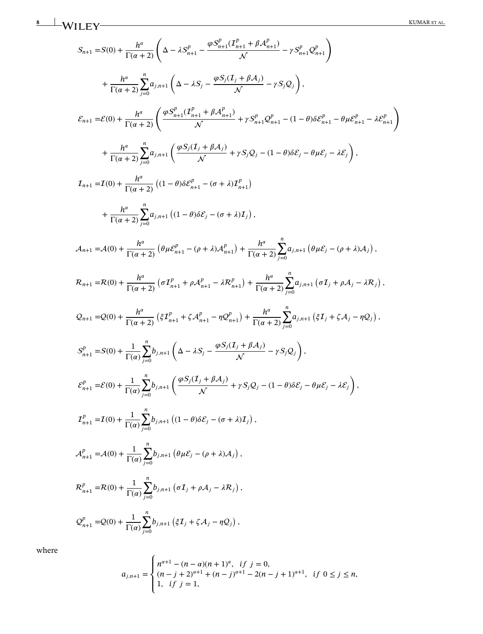**8** WILEY KUMAR ET AL.

$$
S_{n+1} = S(0) + \frac{h^{\alpha}}{\Gamma(\alpha+2)} \left( \Delta - \lambda S_{n+1}^{p} - \frac{\varphi S_{n+1}^{p}(I_{n+1}^{p} + \beta A_{n+1}^{p})}{\mathcal{N}} - \gamma S_{n+1}^{p} Q_{n+1}^{p} \right) + \frac{h^{\alpha}}{\Gamma(\alpha+2)} \sum_{j=0}^{n} a_{j,n+1} \left( \Delta - \lambda S_{j} - \frac{\varphi S_{j}(I_{j} + \beta A_{j}^{p})}{\mathcal{N}} - \gamma S_{j} Q_{j} \right),
$$
  

$$
\mathcal{E}_{n+1} = \mathcal{E}(0) + \frac{h^{\alpha}}{\Gamma(\alpha+2)} \left( \frac{\varphi S_{n+1}^{p}(I_{n+1}^{p} + \beta A_{n+1}^{p})}{\mathcal{N}} + \gamma S_{n+1}^{p} Q_{n+1}^{p} - (1 - \theta) \delta \mathcal{E}_{j}^{p} - \theta \mu \mathcal{E}_{n+1}^{p} - \lambda \mathcal{E}_{n+1}^{p} \right) + \frac{h^{\alpha}}{\Gamma(\alpha+2)} \sum_{j=0}^{n} a_{j,n+1} \left( \frac{\varphi S_{j}(I_{j} + \beta A_{j})}{\mathcal{N}} + \gamma S_{j} Q_{j} - (1 - \theta) \delta \mathcal{E}_{j} - \theta \mu \mathcal{E}_{j} - \lambda \mathcal{E}_{j} \right),
$$
  

$$
I_{n+1} = I(0) + \frac{h^{\alpha}}{\Gamma(\alpha+2)} \left( (1 - \theta) \delta \mathcal{E}_{n+1}^{p} - (\sigma + \lambda) I_{n+1}^{p} \right)
$$
  
+ \frac{h^{\alpha}}{\Gamma(\alpha+2)} \sum\_{j=0}^{n} a\_{j,n+1} \left( (1 - \theta) \delta \mathcal{E}\_{j} - (\sigma + \lambda) I\_{j} \right),  

$$
\mathcal{A}_{n+1} = A(0) + \frac{h^{\alpha}}{\Gamma(\alpha+2)} \left( \theta \mu \mathcal{E}_{n+1}^{p} - (\rho + \lambda) A_{n+1}^{p} \right) + \frac{h^{\alpha}}{\Gamma(\alpha+2)} \sum_{j=0}^{n} a_{j,n+1} \left( \theta \mu \
$$

where

$$
a_{j,n+1} = \begin{cases} n^{\alpha+1} - (n-\alpha)(n+1)^{\alpha}, & \text{if } j = 0, \\ (n-j+2)^{\alpha+1} + (n-j)^{\alpha+1} - 2(n-j+1)^{\alpha+1}, & \text{if } 0 \le j \le n, \\ 1, & \text{if } j = 1, \end{cases}
$$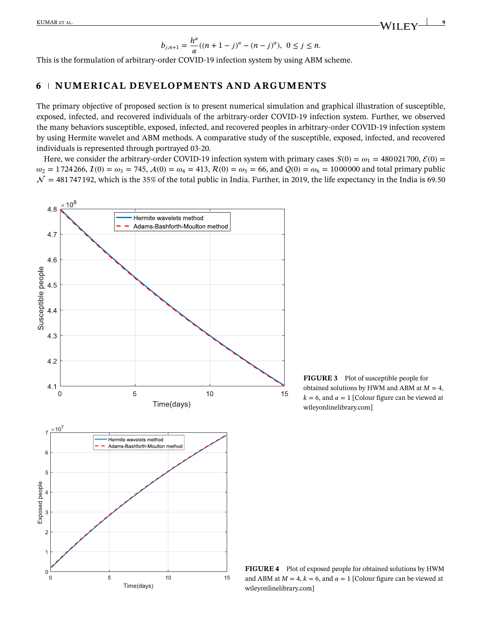$$
b_{j,n+1} = \frac{h^{\alpha}}{\alpha}((n+1-j)^{\alpha} - (n-j)^{\alpha}), \ 0 \le j \le n.
$$

This is the formulation of arbitrary-order COVID-19 infection system by using ABM scheme.

## **6 NUMERICAL DEVELOPMENTS AND ARGUMENTS**

The primary objective of proposed section is to present numerical simulation and graphical illustration of susceptible, exposed, infected, and recovered individuals of the arbitrary-order COVID-19 infection system. Further, we observed the many behaviors susceptible, exposed, infected, and recovered peoples in arbitrary-order COVID-19 infection system by using Hermite wavelet and ABM methods. A comparative study of the susceptible, exposed, infected, and recovered individuals is represented through portrayed 03-20.

Here, we consider the arbitrary-order COVID-19 infection system with primary cases  $S(0) = \omega_1 = 480021700, \mathcal{E}(0) = 100000$  $\omega_2 = 1724266, I(0) = \omega_3 = 745, A(0) = \omega_4 = 413, R(0) = \omega_5 = 66, \text{ and } Q(0) = \omega_6 = 1000000 \text{ and total primary public}$  $\mathcal{N} = 481747192$ , which is the 35% of the total public in India. Further, in 2019, the life expectancy in the India is 69.50



**FIGURE 3** Plot of susceptible people for obtained solutions by HWM and ABM at  $M = 4$ ,  $k = 6$ , and  $\alpha = 1$  [Colour figure can be viewed at wileyonlinelibrary.com]

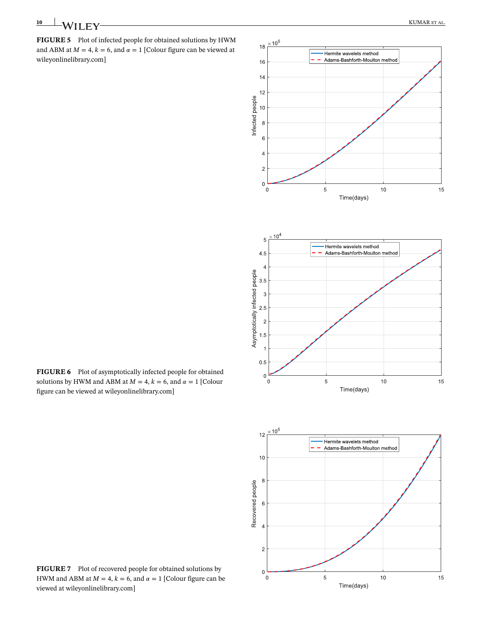**FIGURE 5** Plot of infected people for obtained solutions by HWM and ABM at  $M = 4$ ,  $k = 6$ , and  $\alpha = 1$  [Colour figure can be viewed at wileyonlinelibrary.com]



**FIGURE 6** Plot of asymptotically infected people for obtained solutions by HWM and ABM at  $M = 4$ ,  $k = 6$ , and  $\alpha = 1$  [Colour figure can be viewed at wileyonlinelibrary.com]

**FIGURE 7** Plot of recovered people for obtained solutions by HWM and ABM at  $M = 4$ ,  $k = 6$ , and  $\alpha = 1$  [Colour figure can be viewed at wileyonlinelibrary.com]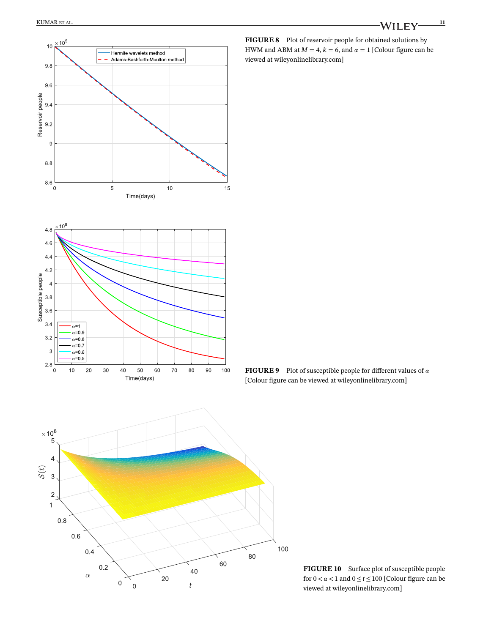



**FIGURE 8** Plot of reservoir people for obtained solutions by HWM and ABM at  $M = 4$ ,  $k = 6$ , and  $\alpha = 1$  [Colour figure can be viewed at wileyonlinelibrary.com]

**FIGURE 9** Plot of susceptible people for different values of  $\alpha$ [Colour figure can be viewed at wileyonlinelibrary.com]



**FIGURE 10** Surface plot of susceptible people for  $0 < \alpha < 1$  and  $0 \le t \le 100$  [Colour figure can be viewed at wileyonlinelibrary.com]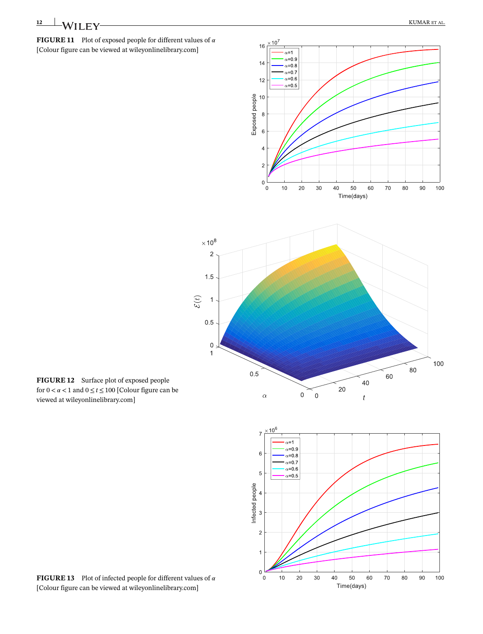#### **FIGURE 11** Plot of exposed people for different values of  $\alpha$ [Colour figure can be viewed at wileyonlinelibrary.com]



**FIGURE 12** Surface plot of exposed people for  $0 < \alpha < 1$  and  $0 \le t \le 100$  [Colour figure can be viewed at wileyonlinelibrary.com]

**FIGURE 13** Plot of infected people for different values of  $\alpha$ [Colour figure can be viewed at wileyonlinelibrary.com]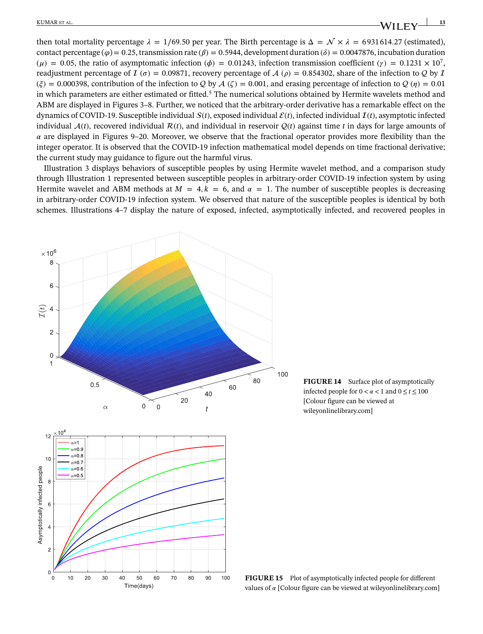KUMAR ET AL. **13 13** 

then total mortality percentage  $\lambda = 1/69.50$  per year. The Birth percentage is  $\Delta = \mathcal{N} \times \lambda = 6931614.27$  (estimated), contact percentage ( $\varphi$ ) = 0.25, transmission rate ( $\beta$ ) = 0.5944, development duration ( $\delta$ ) = 0.0047876, incubation duration  $(\mu) = 0.05$ , the ratio of asymptomatic infection ( $\phi$ ) = 0.01243, infection transmission coefficient ( $\gamma$ ) = 0.1231 × 10<sup>7</sup>, readjustment percentage of  $I(\sigma) = 0.09871$ , recovery percentage of  $A(\rho) = 0.854302$ , share of the infection to Q by I  $(\xi) = 0.000398$ , contribution of the infection to Q by  $A(\zeta) = 0.001$ , and erasing percentage of infection to  $Q(\eta) = 0.01$ in which parameters are either estimated or fitted.<sup>5</sup> The numerical solutions obtained by Hermite wavelets method and ABM are displayed in Figures 3–8. Further, we noticed that the arbitrary-order derivative has a remarkable effect on the dynamics of COVID-19. Susceptible individual  $S(t)$ , exposed individual  $\mathcal{E}(t)$ , infected individual  $\mathcal{I}(t)$ , asymptotic infected individual  $A(t)$ , recovered individual  $R(t)$ , and individual in reservoir  $Q(t)$  against time *t* in days for large amounts of  $\alpha$  are displayed in Figures 9–20. Moreover, we observe that the fractional operator provides more flexibility than the integer operator. It is observed that the COVID-19 infection mathematical model depends on time fractional derivative; the current study may guidance to figure out the harmful virus.

Illustration 3 displays behaviors of susceptible peoples by using Hermite wavelet method, and a comparison study through Illustration 1 represented between susceptible peoples in arbitrary-order COVID-19 infection system by using Hermite wavelet and ABM methods at  $M = 4, k = 6$ , and  $\alpha = 1$ . The number of susceptible peoples is decreasing in arbitrary-order COVID-19 infection system. We observed that nature of the susceptible peoples is identical by both schemes. Illustrations 4–7 display the nature of exposed, infected, asymptotically infected, and recovered peoples in



**FIGURE 14** Surface plot of asymptotically infected people for  $0 < \alpha < 1$  and  $0 \le t \le 100$ [Colour figure can be viewed at wileyonlinelibrary.com]

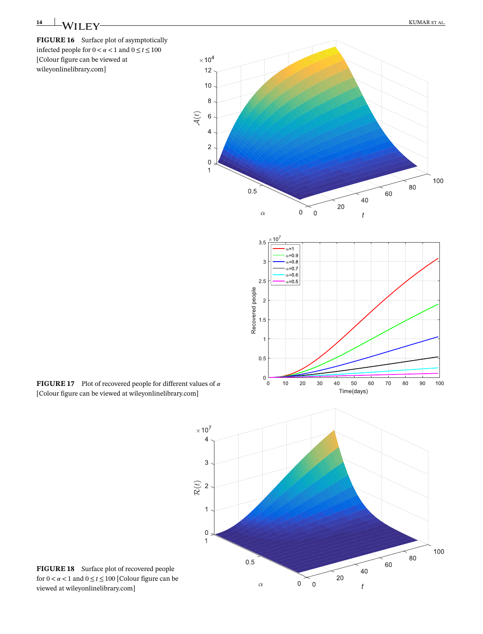# **14 WII FV KUMAR ET AL.**

**FIGURE 16** Surface plot of asymptotically infected people for  $0 < \alpha < 1$  and  $0 \le t \le 100$ [Colour figure can be viewed at wileyonlinelibrary.com]



60

40

 $\boldsymbol{t}$ 

 $20$ 

 $0 \t 0$ 

 $0.5$ 

 $\alpha$ 

**FIGURE 17** Plot of recovered people for different values of  $\alpha$ [Colour figure can be viewed at wileyonlinelibrary.com]

**FIGURE 18** Surface plot of recovered people for  $0 < \alpha < 1$  and  $0 \le t \le 100$  [Colour figure can be viewed at wileyonlinelibrary.com]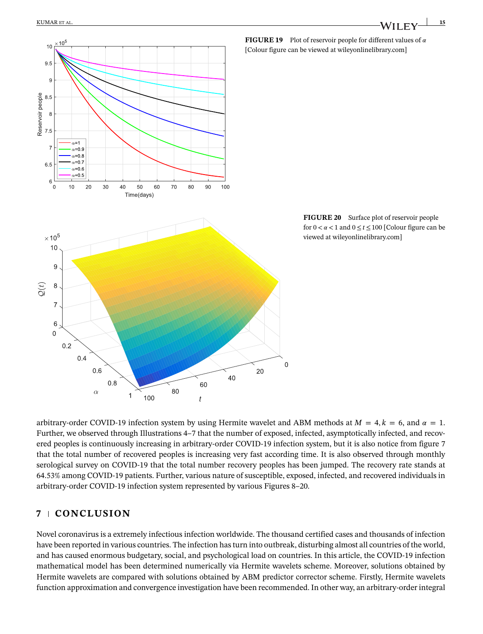

arbitrary-order COVID-19 infection system by using Hermite wavelet and ABM methods at  $M = 4, k = 6$ , and  $\alpha = 1$ . Further, we observed through Illustrations 4–7 that the number of exposed, infected, asymptotically infected, and recovered peoples is continuously increasing in arbitrary-order COVID-19 infection system, but it is also notice from figure 7 that the total number of recovered peoples is increasing very fast according time. It is also observed through monthly serological survey on COVID-19 that the total number recovery peoples has been jumped. The recovery rate stands at 64.53% among COVID-19 patients. Further, various nature of susceptible, exposed, infected, and recovered individuals in arbitrary-order COVID-19 infection system represented by various Figures 8–20.

#### **7 CONCLUSION**

Novel coronavirus is a extremely infectious infection worldwide. The thousand certified cases and thousands of infection have been reported in various countries. The infection has turn into outbreak, disturbing almost all countries of the world, and has caused enormous budgetary, social, and psychological load on countries. In this article, the COVID-19 infection mathematical model has been determined numerically via Hermite wavelets scheme. Moreover, solutions obtained by Hermite wavelets are compared with solutions obtained by ABM predictor corrector scheme. Firstly, Hermite wavelets function approximation and convergence investigation have been recommended. In other way, an arbitrary-order integral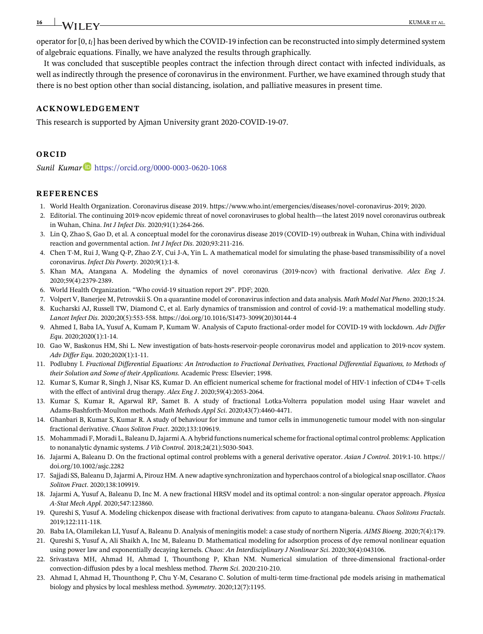operator for [0, *tl*] has been derived by which the COVID-19 infection can be reconstructed into simply determined system of algebraic equations. Finally, we have analyzed the results through graphically.

It was concluded that susceptible peoples contract the infection through direct contact with infected individuals, as well as indirectly through the presence of coronavirus in the environment. Further, we have examined through study that there is no best option other than social distancing, isolation, and palliative measures in present time.

#### **ACKNOWLEDGEMENT**

This research is supported by Ajman University grant 2020-COVID-19-07.

## **ORCID**

*Sunil Kumar* https://orcid.org/0000-0003-0620-1068

#### **REFERENCES**

- 1. World Health Organization. Coronavirus disease 2019. https://www.who.int/emergencies/diseases/novel-coronavirus-2019; 2020.
- 2. Editorial. The continuing 2019-ncov epidemic threat of novel coronaviruses to global health—the latest 2019 novel coronavirus outbreak in Wuhan, China. *Int J Infect Dis*. 2020;91(1):264-266.
- 3. Lin Q, Zhao S, Gao D, et al. A conceptual model for the coronavirus disease 2019 (COVID-19) outbreak in Wuhan, China with individual reaction and governmental action. *Int J Infect Dis*. 2020;93:211-216.
- 4. Chen T-M, Rui J, Wang Q-P, Zhao Z-Y, Cui J-A, Yin L. A mathematical model for simulating the phase-based transmissibility of a novel coronavirus. *Infect Dis Poverty*. 2020;9(1):1-8.
- 5. Khan MA, Atangana A. Modeling the dynamics of novel coronavirus (2019-ncov) with fractional derivative. *Alex Eng J*. 2020;59(4):2379-2389.
- 6. World Health Organization. "Who covid-19 situation report 29". PDF; 2020.
- 7. Volpert V, Banerjee M, Petrovskii S. On a quarantine model of coronavirus infection and data analysis. *Math Model Nat Pheno*. 2020;15:24.
- 8. Kucharski AJ, Russell TW, Diamond C, et al. Early dynamics of transmission and control of covid-19: a mathematical modelling study. *Lancet Infect Dis*. 2020;20(5):553-558. https://doi.org/10.1016/S1473-3099(20)30144-4
- 9. Ahmed I, Baba IA, Yusuf A, Kumam P, Kumam W. Analysis of Caputo fractional-order model for COVID-19 with lockdown. *Adv Differ Equ*. 2020;2020(1):1-14.
- 10. Gao W, Baskonus HM, Shi L. New investigation of bats-hosts-reservoir-people coronavirus model and application to 2019-ncov system. *Adv Differ Equ*. 2020;2020(1):1-11.
- 11. Podlubny I. *Fractional Differential Equations: An Introduction to Fractional Derivatives, Fractional Differential Equations, to Methods of their Solution and Some of their Applications*. Academic Press: Elsevier; 1998.
- 12. Kumar S, Kumar R, Singh J, Nisar KS, Kumar D. An efficient numerical scheme for fractional model of HIV-1 infection of CD4+ T-cells with the effect of antiviral drug therapy. *Alex Eng J*. 2020;59(4):2053-2064.
- 13. Kumar S, Kumar R, Agarwal RP, Samet B. A study of fractional Lotka-Volterra population model using Haar wavelet and Adams-Bashforth-Moulton methods. *Math Methods Appl Sci*. 2020;43(7):4460-4471.
- 14. Ghanbari B, Kumar S, Kumar R. A study of behaviour for immune and tumor cells in immunogenetic tumour model with non-singular fractional derivative. *Chaos Soliton Fract*. 2020;133:109619.
- 15. Mohammadi F, Moradi L, Baleanu D, Jajarmi A. A hybrid functions numerical scheme for fractional optimal control problems: Application to nonanalytic dynamic systems. *J Vib Control*. 2018;24(21):5030-5043.
- 16. Jajarmi A, Baleanu D. On the fractional optimal control problems with a general derivative operator. *Asian J Control*. 2019:1-10. https:// doi.org/10.1002/asjc.2282
- 17. Sajjadi SS, Baleanu D, Jajarmi A, Pirouz HM. A new adaptive synchronization and hyperchaos control of a biological snap oscillator. *Chaos Soliton Fract*. 2020;138:109919.
- 18. Jajarmi A, Yusuf A, Baleanu D, Inc M. A new fractional HRSV model and its optimal control: a non-singular operator approach. *Physica A-Stat Mech Appl*. 2020;547:123860.
- 19. Qureshi S, Yusuf A. Modeling chickenpox disease with fractional derivatives: from caputo to atangana-baleanu. *Chaos Solitons Fractals*. 2019;122:111-118.
- 20. Baba IA, Olamilekan LI, Yusuf A, Baleanu D. Analysis of meningitis model: a case study of northern Nigeria. *AIMS Bioeng*. 2020;7(4):179.
- 21. Qureshi S, Yusuf A, Ali Shaikh A, Inc M, Baleanu D. Mathematical modeling for adsorption process of dye removal nonlinear equation using power law and exponentially decaying kernels. *Chaos: An Interdisciplinary J Nonlinear Sci*. 2020;30(4):043106.
- 22. Srivastava MH, Ahmad H, Ahmad I, Thounthong P, Khan NM. Numerical simulation of three-dimensional fractional-order convection-diffusion pdes by a local meshless method. *Therm Sci*. 2020:210-210.
- 23. Ahmad I, Ahmad H, Thounthong P, Chu Y-M, Cesarano C. Solution of multi-term time-fractional pde models arising in mathematical biology and physics by local meshless method. *Symmetry*. 2020;12(7):1195.